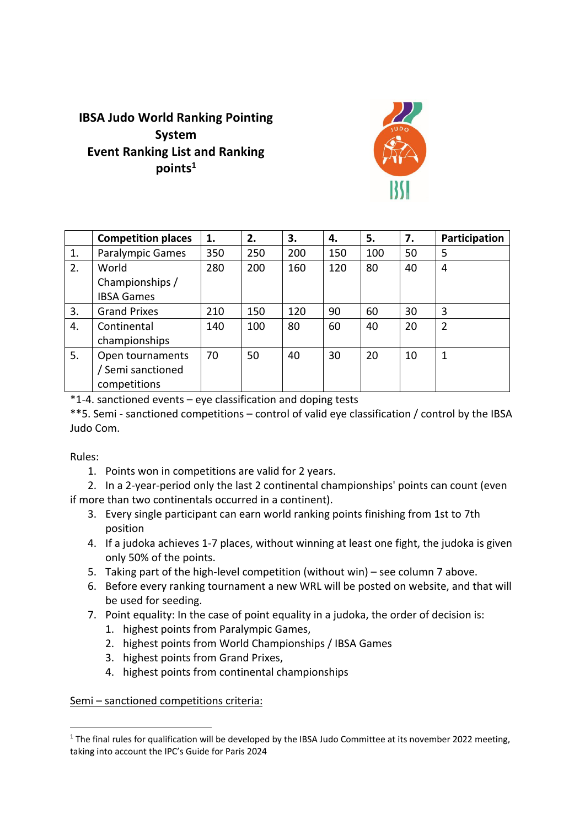## **IBSA Judo World Ranking Pointing System Event Ranking List and Ranking points1**



|    | <b>Competition places</b> | 1.  | 2.  | 3.  | 4.  | 5.  | 7. | Participation  |
|----|---------------------------|-----|-----|-----|-----|-----|----|----------------|
| 1. | <b>Paralympic Games</b>   | 350 | 250 | 200 | 150 | 100 | 50 | 5              |
| 2. | World                     | 280 | 200 | 160 | 120 | 80  | 40 | 4              |
|    | Championships /           |     |     |     |     |     |    |                |
|    | <b>IBSA Games</b>         |     |     |     |     |     |    |                |
| 3. | <b>Grand Prixes</b>       | 210 | 150 | 120 | 90  | 60  | 30 | 3              |
| 4. | Continental               | 140 | 100 | 80  | 60  | 40  | 20 | $\overline{2}$ |
|    | championships             |     |     |     |     |     |    |                |
| 5. | Open tournaments          | 70  | 50  | 40  | 30  | 20  | 10 | 1              |
|    | / Semi sanctioned         |     |     |     |     |     |    |                |
|    | competitions              |     |     |     |     |     |    |                |

\*1-4. sanctioned events – eye classification and doping tests

\*\*5. Semi - sanctioned competitions – control of valid eye classification / control by the IBSA Judo Com.

Rules:

1. Points won in competitions are valid for 2 years.

2. In a 2-year-period only the last 2 continental championships' points can count (even if more than two continentals occurred in a continent).

- 3. Every single participant can earn world ranking points finishing from 1st to 7th position
- 4. If a judoka achieves 1-7 places, without winning at least one fight, the judoka is given only 50% of the points.
- 5. Taking part of the high-level competition (without win) see column 7 above.
- 6. Before every ranking tournament a new WRL will be posted on website, and that will be used for seeding.
- 7. Point equality: In the case of point equality in a judoka, the order of decision is:
	- 1. highest points from Paralympic Games,
	- 2. highest points from World Championships / IBSA Games
	- 3. highest points from Grand Prixes,
	- 4. highest points from continental championships

Semi – sanctioned competitions criteria:

 $1$  The final rules for qualification will be developed by the IBSA Judo Committee at its november 2022 meeting, taking into account the IPC's Guide for Paris 2024